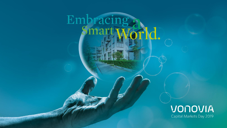

## VONOVIA Capital Markets Day 2019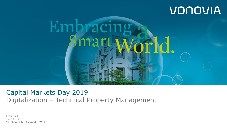# VONOVIA



Capital Markets Day 2019 Digitalization – Technical Property Management

Frankfurt June 05, 2019 Stephen Guhr, Alexander Weihe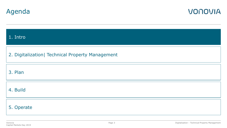



| 1. Intro                                          |
|---------------------------------------------------|
| 2. Digitalization   Technical Property Management |
| 3. Plan                                           |
| 4. Build                                          |
| 5. Operate                                        |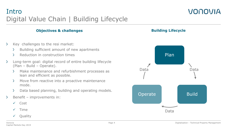## Intro Digital Value Chain | Building Lifecycle

#### **Objectives & challenges**

- Y. Key challenges to the resi market:
	- $\mathcal{P}$ Building sufficient amount of new apartments
	- Reduction in construction times  $\mathcal{P}$
- $\sum$ Long-term goal: digital record of entire building lifecycle (Plan – Build – Operate).
	- $\geq$ Make maintenance and refurbishment processes as lean and efficient as possible.
	- $\geq$ Move from reactive into a proactive maintenance mode.
	- $\sum$ Data based planning, building and operating models.
- $\sum$ Benefit – improvements in:
	- $\sqrt{C}$ ost
	- $\checkmark$  Time
	- $\checkmark$  Ouality



**Building Lifecycle**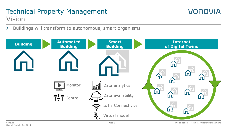## Technical Property Management Vision



 $\sum$ Buildings will transform to autonomous, smart organisms

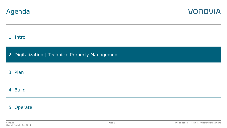

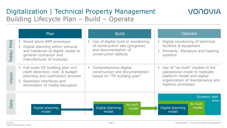## Digitalization | Technical Property Management Building Lifecycle Plan – Build – Operate



|                 | Plan                                                                                                                                                                       | <b>Build</b>                                                                                                            | Operate                                                                                                                                                     |
|-----------------|----------------------------------------------------------------------------------------------------------------------------------------------------------------------------|-------------------------------------------------------------------------------------------------------------------------|-------------------------------------------------------------------------------------------------------------------------------------------------------------|
| Pilot<br>Today/ | > Stand alone BIM processes<br>Digital planning within Vonovia<br>and handover of digital model to<br>general contractor and<br>manufacturer of modules                    | > Use of digital tools in monitoring<br>of construction site (progress)<br>and documentation of<br>construction defects | > Digital monitoring of technical<br>facilities & equipment<br>Primarily: Elevators and heating<br>systems                                                  |
| Vision          | $\ge$ Full-scale 5D building plan incl.<br>clash detection, cost & budget<br>planning and submission process<br>Seamless interfaces and<br>elimination of media disruption | Comprehensive digital<br>$\sum$<br>construction site documentation<br>based on "7D building plan"                       | > Use of "as-built" models in full<br>operational mode to replicate<br>platform model and digital<br>organization of maintenance and<br>logistics processes |
| <b>Data</b>     | Digital planning<br>model                                                                                                                                                  | As-built<br>Digital planning<br>model<br>model                                                                          | Dynamic real-<br>time<br>As-built<br>Digital planning<br>model<br>model                                                                                     |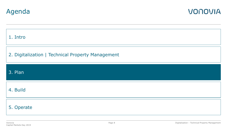



| 1. Intro                                          |
|---------------------------------------------------|
| 2. Digitalization   Technical Property Management |
| 3. Plan                                           |
| 4. Build                                          |
| 5. Operate                                        |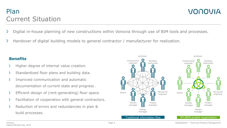## Plan Current Situation

VONOVIA

- Digital in-house planning of new constructions within Vonovia through use of BIM tools and processes.
- $\geq$ Handover of digital building models to general contractor / manufacturer for realization.

#### **Benefits**

- Higher degree of internal value creation. ≻
- Standardized floor plans and building data. D.
- Improved communication and automatic D. documentation of current state and progress .
- Efficient design of (rent-generating) floor space. ≻
- Facilitation of cooperation with general contractors. ≻
- Reduction of errors and redundancies in plan & ≻ build processes.

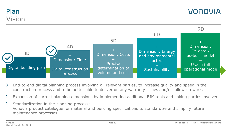### Plan Vision



- End-to-end digital planning process involving all relevant parties, to increase quality and speed in the construction process and to be better able to deliver on any warranty issues and/or follow-up work.
- $\geq$ Expansion of current planning dimensions by implementing additional BIM tools and linking parties involved.
- $\geq$ Standardization in the planning process: Vonovia product catalogue for material and building specifications to standardize and simplify future maintenance processes.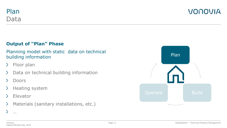

VONOVIA

### **Output of "Plan" Phase**

### Planning model with static data on technical building information

- Floor plan  $\sum$
- Data on technical building information ≻
- Doors
- Heating system  $\geq$
- Elevator  $\geq$
- $\sum$ Materials (sanitary installations, etc.)



…

 $\sum$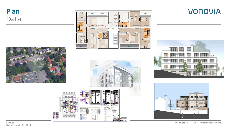







**VONOVIA** 





Digitalization – Technical Property Management

Vonovia Capital Markets Day 2019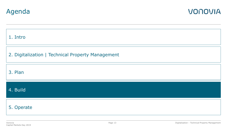



| 1. Intro                                          |
|---------------------------------------------------|
| 2. Digitalization   Technical Property Management |
| 3. Plan                                           |
| 4. Build                                          |
| 5. Operate                                        |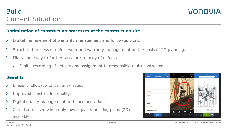

#### **Optimization of construction processes at the construction site**

- $\geq$ Digital management of warranty management and follow-up work.
- Structured process of defect work and warranty management on the basis of 2D planning.
- $\geq$ Pilots underway to further structure remedy of defects
	- $\sum$ Digital recording of defects and assignment to responsible (sub) contractor.

#### **Benefits**

- Efficient follow-up to warranty issues.
- $\geq$ Improved construction quality.
- $\geq$ Digital quality management and documentation.
- Can also be used when only lower-quality building plans (2D) available.

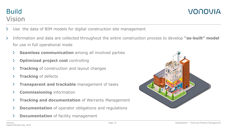### Build Vision

- Use the data of BIM models for digital construction site management
- $\geq$ Information and data are collected throughout the entire construction process to develop **"as-built" model**  for use in full operational mode
	- **Seamless communication** among all involved parties ≻
	- $\geq$ **Optimized project cost controlling**
	- **Tracking** of construction and layout changes
	- **Tracking** of defects ≻
	- $\geq$ **Transparent and trackable** management of tasks
	- **Commissioning** information
	- **Tracking and documentation** of Warranty Management  $\geq$
	- $\geq$ **Documentation** of operator obligations and regulations
	- $\sum$ **Documentation** of facility management

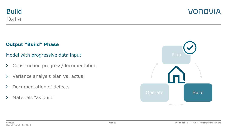

### **Output "Build" Phase**

### Model with progressive data input

- $\geq$ Construction progress/documentation
- Variance analysis plan vs. actual  $\sum$
- Documentation of defects  $\sum$
- Materials "as built"  $\sum$

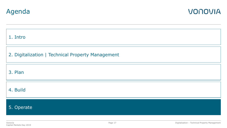



| 1. Intro                                          |
|---------------------------------------------------|
| 2. Digitalization   Technical Property Management |
| 3. Plan                                           |
| 4. Build                                          |
| 5. Operate                                        |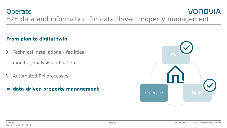### **Operate** VONOVIA E2E data and information for data driven property management

### **From plan to digital twin**

- $\sum$ Technical installations / facilities: monitor, analysis and action
- Automated FM processes  $\sum$
- **= data-driven property management**

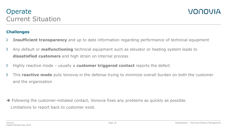#### **Challenges**

- ≻ **Insufficient transparency** and up to date information regarding performance of technical equipment
- Any default or **malfunctioning** technical equipment such as elevator or heating system leads to  $\geq$ **dissatisfied customers** and high strain on internal process
- Highly reactive mode usually a **customer triggered contact** reports the defect ≻
- $\geq$ This **reactive mode** puts Vonovia in the defense trying to minimize overall burden on both the customer and the organization

 $\rightarrow$  Following the customer-initiated contact, Vonovia fixes any problems as quickly as possible. Limitations to report back to customer exist.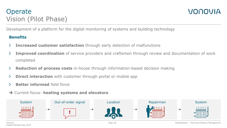## **Operate** Vision (Pilot Phase)



Development of a platform for the digital monitoring of systems and building technology

#### **Benefits**

- **Increased customer satisfaction** through early detection of malfunctions
- **Improved coordination** of service providers and craftsmen through review and documentation of work completed
- **Reduction of process costs** in-house through information-based decision making
- **Direct interaction** with customer through portal or mobile app ≻
- **Better informed** field force
- Current focus: **heating systems and elevators**



Vonovia Capital Markets Day 2019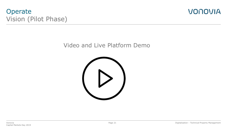### **Operate** Vision (Pilot Phase)



### Video and Live Platform Demo

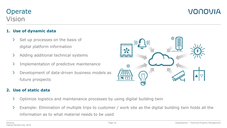#### Vonovia Capital Markets Day 2019

### **Operate** Vision

#### **1. Use of dynamic data**

- Set up processes on the basis of  $\geq$ digital platform information
- $\geq$ Adding additional technical systems
- $\sum$ Implementation of predictive maintenance
- $\geq$ Development of data-driven business models as future prospects

### **2. Use of static data**

- Optimize logistics and maintenance processes by using digital building twin  $\geq$
- $\sum$ Example: Elimination of multiple trips to customer / work site as the digital building twin holds all the information as to what material needs to be used

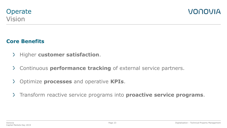

### **Core Benefits**

- $\geq$ Higher **customer satisfaction**.
- Continuous **performance tracking** of external service partners.
- $\sum$ Optimize **processes** and operative **KPIs**.
- Transform reactive service programs into **proactive service programs**.